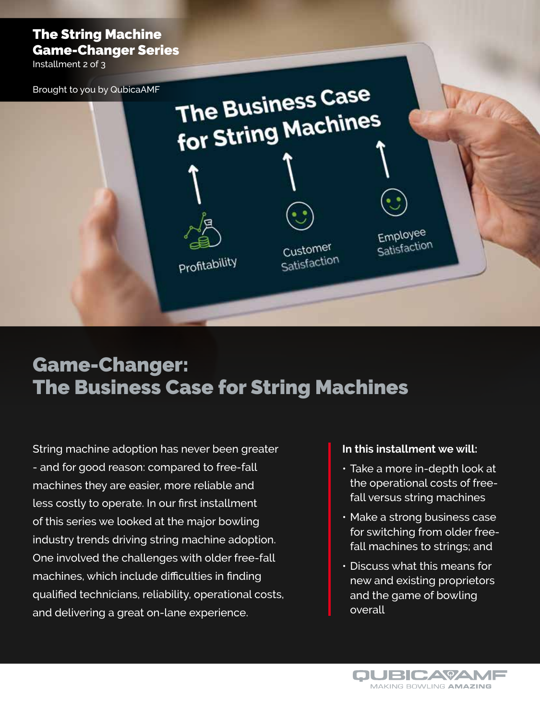### The String Machine Game-Changer Series

Installment 2 of 3

The Business Case Brought to you by QubicaAMF The Business<br>for String Machines Employee Satisfaction Customer Profitability Satisfaction

## Game-Changer: The Business Case for String Machines

String machine adoption has never been greater - and for good reason: compared to free-fall machines they are easier, more reliable and less costly to operate. In our first installment of this series we looked at the major bowling industry trends driving string machine adoption. One involved the challenges with older free-fall machines, which include difficulties in finding qualified technicians, reliability, operational costs, and delivering a great on-lane experience.

### **In this installment we will:**

- Take a more in-depth look at the operational costs of freefall versus string machines
- Make a strong business case for switching from older freefall machines to strings; and
- Discuss what this means for new and existing proprietors and the game of bowling overall

**OUBICAYAME** MAKING BOWLING AMAZING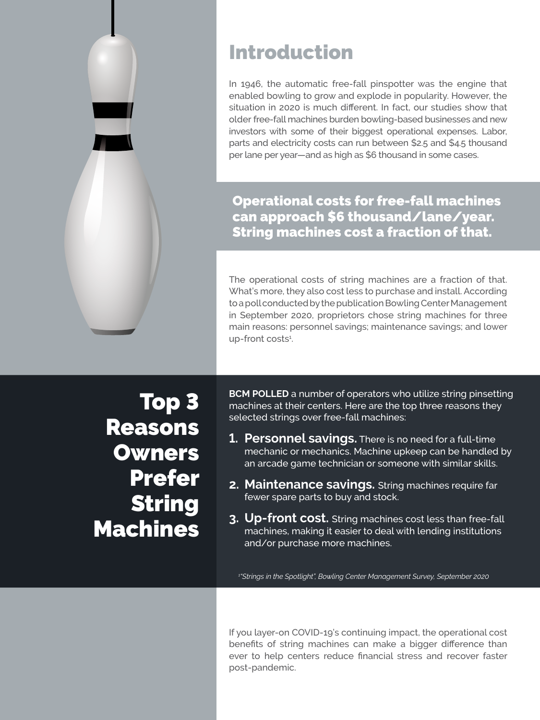

## Introduction

In 1946, the automatic free-fall pinspotter was the engine that enabled bowling to grow and explode in popularity. However, the situation in 2020 is much different. In fact, our studies show that older free-fall machines burden bowling-based businesses and new investors with some of their biggest operational expenses. Labor, parts and electricity costs can run between \$2.5 and \$4.5 thousand per lane per year—and as high as \$6 thousand in some cases.

Operational costs for free-fall machines can approach \$6 thousand/lane/year. String machines cost a fraction of that.

The operational costs of string machines are a fraction of that. What's more, they also cost less to purchase and install. According to a poll conducted by the publication Bowling Center Management in September 2020, proprietors chose string machines for three main reasons: personnel savings; maintenance savings; and lower up-front costs<sup>1</sup>.

Top 3 Reasons **Owners** Prefer String Machines

**BCM POLLED** a number of operators who utilize string pinsetting machines at their centers. Here are the top three reasons they selected strings over free-fall machines:

- **1. Personnel savings.** There is no need for a full-time mechanic or mechanics. Machine upkeep can be handled by an arcade game technician or someone with similar skills.
- **2. Maintenance savings.** String machines require far fewer spare parts to buy and stock.
- **3. Up-front cost.** String machines cost less than free-fall machines, making it easier to deal with lending institutions and/or purchase more machines.

*1 "Strings in the Spotlight", Bowling Center Management Survey, September 2020*

If you layer-on COVID-19's continuing impact, the operational cost benefits of string machines can make a bigger difference than ever to help centers reduce financial stress and recover faster post-pandemic.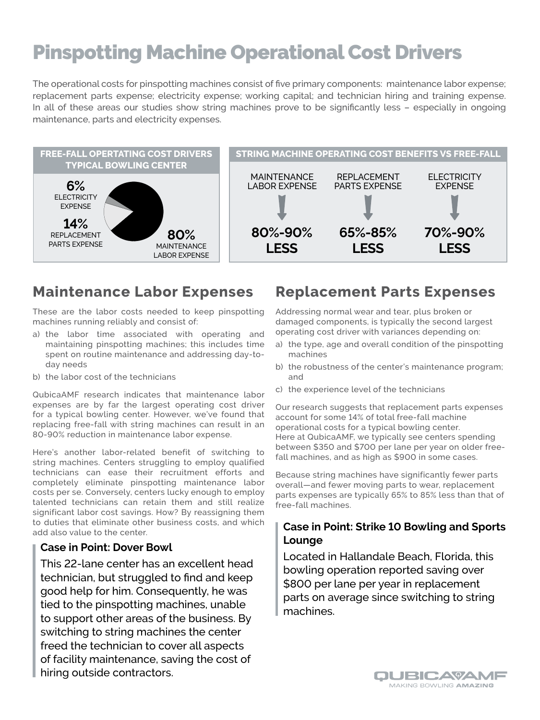# Pinspotting Machine Operational Cost Drivers

The operational costs for pinspotting machines consist of five primary components: maintenance labor expense; replacement parts expense; electricity expense; working capital; and technician hiring and training expense. In all of these areas our studies show string machines prove to be significantly less – especially in ongoing maintenance, parts and electricity expenses.



## **Maintenance Labor Expenses**

These are the labor costs needed to keep pinspotting machines running reliably and consist of:

- a) the labor time associated with operating and maintaining pinspotting machines; this includes time spent on routine maintenance and addressing day-today needs
- b) the labor cost of the technicians

QubicaAMF research indicates that maintenance labor expenses are by far the largest operating cost driver for a typical bowling center. However, we've found that replacing free-fall with string machines can result in an 80-90% reduction in maintenance labor expense.

Here's another labor-related benefit of switching to string machines. Centers struggling to employ qualified technicians can ease their recruitment efforts and completely eliminate pinspotting maintenance labor costs per se. Conversely, centers lucky enough to employ talented technicians can retain them and still realize significant labor cost savings. How? By reassigning them to duties that eliminate other business costs, and which add also value to the center.

### **Case in Point: Dover Bowl**

This 22-lane center has an excellent head technician, but struggled to find and keep good help for him. Consequently, he was tied to the pinspotting machines, unable to support other areas of the business. By switching to string machines the center freed the technician to cover all aspects of facility maintenance, saving the cost of hiring outside contractors.

### **Replacement Parts Expenses**

Addressing normal wear and tear, plus broken or damaged components, is typically the second largest operating cost driver with variances depending on:

- a) the type, age and overall condition of the pinspotting machines
- b) the robustness of the center's maintenance program; and
- c) the experience level of the technicians

Our research suggests that replacement parts expenses account for some 14% of total free-fall machine operational costs for a typical bowling center. Here at QubicaAMF, we typically see centers spending between \$350 and \$700 per lane per year on older freefall machines, and as high as \$900 in some cases.

Because string machines have significantly fewer parts overall—and fewer moving parts to wear, replacement parts expenses are typically 65% to 85% less than that of free-fall machines.

### **Case in Point: Strike 10 Bowling and Sports Lounge**

Located in Hallandale Beach, Florida, this bowling operation reported saving over \$800 per lane per year in replacement parts on average since switching to string machines.

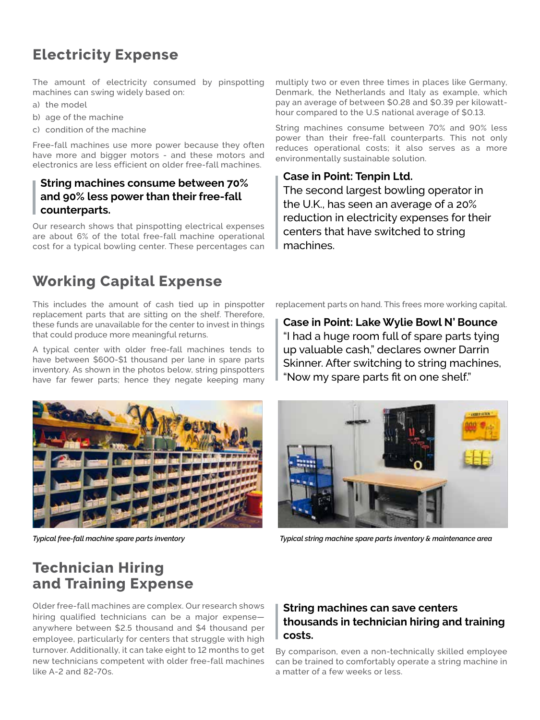## **Electricity Expense**

The amount of electricity consumed by pinspotting machines can swing widely based on:

- a) the model
- b) age of the machine
- c) condition of the machine

Free-fall machines use more power because they often have more and bigger motors - and these motors and electronics are less efficient on older free-fall machines.

### **String machines consume between 70% and 90% less power than their free-fall counterparts.**

Our research shows that pinspotting electrical expenses are about 6% of the total free-fall machine operational cost for a typical bowling center. These percentages can

## **Working Capital Expense**

This includes the amount of cash tied up in pinspotter replacement parts that are sitting on the shelf. Therefore, these funds are unavailable for the center to invest in things that could produce more meaningful returns.

A typical center with older free-fall machines tends to have between \$600-\$1 thousand per lane in spare parts inventory. As shown in the photos below, string pinspotters have far fewer parts; hence they negate keeping many

multiply two or even three times in places like Germany, Denmark, the Netherlands and Italy as example, which pay an average of between \$0.28 and \$0.39 per kilowatthour compared to the U.S national average of \$0.13.

String machines consume between 70% and 90% less power than their free-fall counterparts. This not only reduces operational costs; it also serves as a more environmentally sustainable solution.

### **Case in Point: Tenpin Ltd.**

The second largest bowling operator in the U.K., has seen an average of a 20% reduction in electricity expenses for their centers that have switched to string machines.

replacement parts on hand. This frees more working capital.

**Case in Point: Lake Wylie Bowl N' Bounce** "I had a huge room full of spare parts tying up valuable cash," declares owner Darrin Skinner. After switching to string machines, "Now my spare parts fit on one shelf."





*Typical free-fall machine spare parts inventory Typical string machine spare parts inventory & maintenance area*

## **Technician Hiring and Training Expense**

Older free-fall machines are complex. Our research shows hiring qualified technicians can be a major expense anywhere between \$2.5 thousand and \$4 thousand per employee, particularly for centers that struggle with high turnover. Additionally, it can take eight to 12 months to get new technicians competent with older free-fall machines like A-2 and 82-70s.

### **String machines can save centers thousands in technician hiring and training costs.**

By comparison, even a non-technically skilled employee can be trained to comfortably operate a string machine in a matter of a few weeks or less.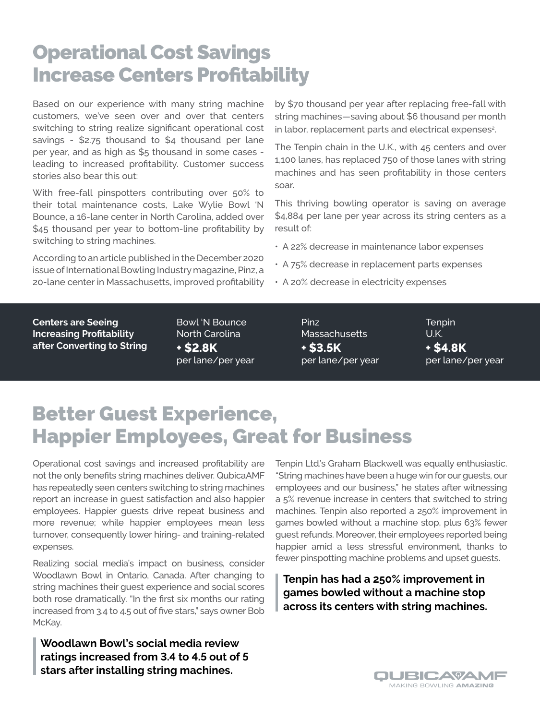# Operational Cost Savings Increase Centers Profitability

Based on our experience with many string machine customers, we've seen over and over that centers switching to string realize significant operational cost savings - \$2.75 thousand to \$4 thousand per lane per year, and as high as \$5 thousand in some cases leading to increased profitability. Customer success stories also bear this out:

With free-fall pinspotters contributing over 50% to their total maintenance costs, Lake Wylie Bowl 'N Bounce, a 16-lane center in North Carolina, added over \$45 thousand per year to bottom-line profitability by switching to string machines.

According to an article published in the December 2020 issue of International Bowling Industry magazine, Pinz, a 20-lane center in Massachusetts, improved profitability by \$70 thousand per year after replacing free-fall with string machines—saving about \$6 thousand per month in labor, replacement parts and electrical expenses<sup>2</sup>.

The Tenpin chain in the U.K., with 45 centers and over 1,100 lanes, has replaced 750 of those lanes with string machines and has seen profitability in those centers soar.

This thriving bowling operator is saving on average \$4,884 per lane per year across its string centers as a result of:

- A 22% decrease in maintenance labor expenses
- A 75% decrease in replacement parts expenses
- A 20% decrease in electricity expenses

**Centers are Seeing Increasing Profitability after Converting to String** Bowl 'N Bounce North Carolina **+ \$2.8K** per lane/per year

Pinz **Massachusetts + \$3.5K** per lane/per year **Tenpin** U.K. **+ \$4.8K** per lane/per year

# Better Guest Experience, Happier Employees, Great for Business

Operational cost savings and increased profitability are not the only benefits string machines deliver. QubicaAMF has repeatedly seen centers switching to string machines report an increase in guest satisfaction and also happier employees. Happier guests drive repeat business and more revenue; while happier employees mean less turnover, consequently lower hiring- and training-related expenses.

Realizing social media's impact on business, consider Woodlawn Bowl in Ontario, Canada. After changing to string machines their guest experience and social scores both rose dramatically. "In the first six months our rating increased from 3.4 to 4.5 out of five stars," says owner Bob McKay.

**Woodlawn Bowl's social media review ratings increased from 3.4 to 4.5 out of 5 stars after installing string machines.** 

Tenpin Ltd.'s Graham Blackwell was equally enthusiastic. "String machines have been a huge win for our guests, our employees and our business," he states after witnessing a 5% revenue increase in centers that switched to string machines. Tenpin also reported a 250% improvement in games bowled without a machine stop, plus 63% fewer guest refunds. Moreover, their employees reported being happier amid a less stressful environment, thanks to fewer pinspotting machine problems and upset guests.

**Tenpin has had a 250% improvement in games bowled without a machine stop across its centers with string machines.**

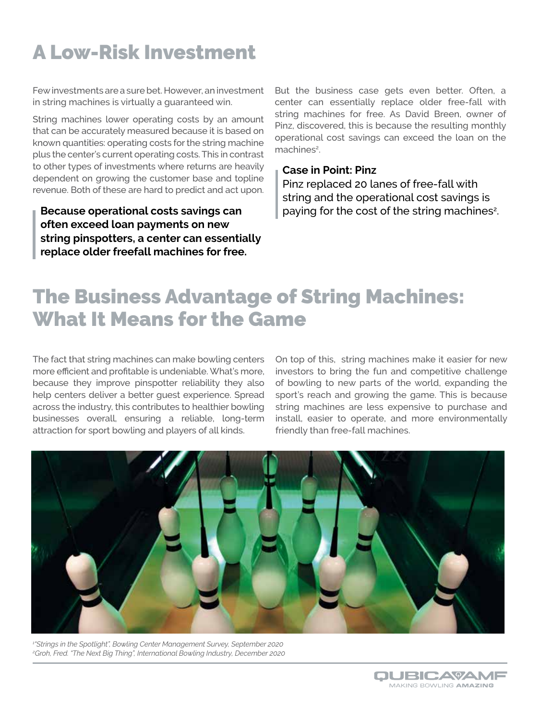# A Low-Risk Investment

Few investments are a sure bet. However, an investment in string machines is virtually a guaranteed win.

String machines lower operating costs by an amount that can be accurately measured because it is based on known quantities: operating costs for the string machine plus the center's current operating costs. This in contrast to other types of investments where returns are heavily dependent on growing the customer base and topline revenue. Both of these are hard to predict and act upon.

**Because operational costs savings can often exceed loan payments on new string pinspotters, a center can essentially replace older freefall machines for free.**

But the business case gets even better. Often, a center can essentially replace older free-fall with string machines for free. As David Breen, owner of Pinz, discovered, this is because the resulting monthly operational cost savings can exceed the loan on the machines<sup>2</sup>.

#### **Case in Point: Pinz**

Pinz replaced 20 lanes of free-fall with string and the operational cost savings is paying for the cost of the string machines<sup>2</sup>.

# The Business Advantage of String Machines: What It Means for the Game

The fact that string machines can make bowling centers more efficient and profitable is undeniable. What's more, because they improve pinspotter reliability they also help centers deliver a better guest experience. Spread across the industry, this contributes to healthier bowling businesses overall, ensuring a reliable, long-term attraction for sport bowling and players of all kinds.

On top of this, string machines make it easier for new investors to bring the fun and competitive challenge of bowling to new parts of the world, expanding the sport's reach and growing the game. This is because string machines are less expensive to purchase and install, easier to operate, and more environmentally friendly than free-fall machines.



*1 "Strings in the Spotlight", Bowling Center Management Survey, September 2020 2 Groh, Fred. "The Next Big Thing", International Bowling Industry, December 2020*